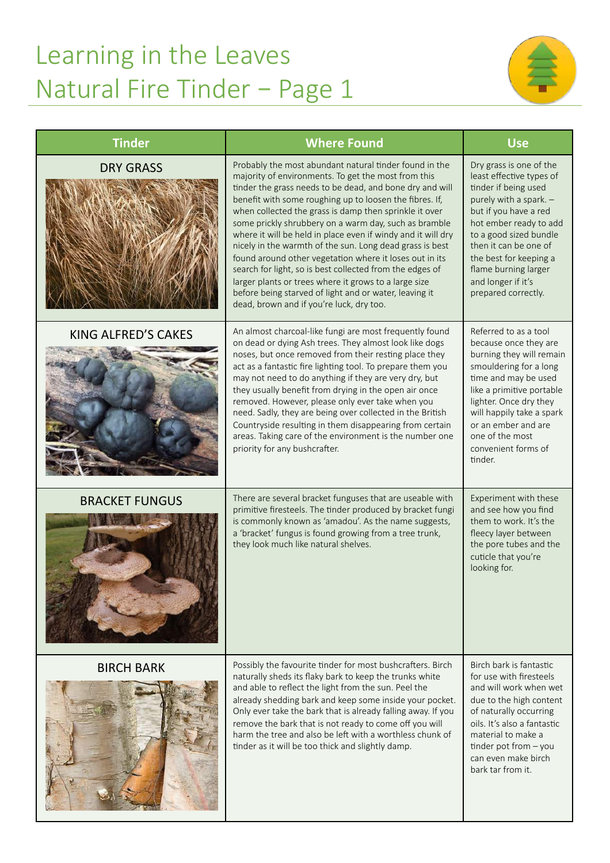## Learning in the Leaves Natural Fire Tinder – Page 1



| <b>Tinder</b>              | <b>Where Found</b>                                                                                                                                                                                                                                                                                                                                                                                                                                                                                                                                                                                                                                                                                                                                                        | <b>Use</b>                                                                                                                                                                                                                                                                                                 |
|----------------------------|---------------------------------------------------------------------------------------------------------------------------------------------------------------------------------------------------------------------------------------------------------------------------------------------------------------------------------------------------------------------------------------------------------------------------------------------------------------------------------------------------------------------------------------------------------------------------------------------------------------------------------------------------------------------------------------------------------------------------------------------------------------------------|------------------------------------------------------------------------------------------------------------------------------------------------------------------------------------------------------------------------------------------------------------------------------------------------------------|
| <b>DRY GRASS</b>           | Probably the most abundant natural tinder found in the<br>majority of environments. To get the most from this<br>tinder the grass needs to be dead, and bone dry and will<br>benefit with some roughing up to loosen the fibres. If,<br>when collected the grass is damp then sprinkle it over<br>some prickly shrubbery on a warm day, such as bramble<br>where it will be held in place even if windy and it will dry<br>nicely in the warmth of the sun. Long dead grass is best<br>found around other vegetation where it loses out in its<br>search for light, so is best collected from the edges of<br>larger plants or trees where it grows to a large size<br>before being starved of light and or water, leaving it<br>dead, brown and if you're luck, dry too. | Dry grass is one of the<br>least effective types of<br>tinder if being used<br>purely with a spark. -<br>but if you have a red<br>hot ember ready to add<br>to a good sized bundle<br>then it can be one of<br>the best for keeping a<br>flame burning larger<br>and longer if it's<br>prepared correctly. |
| <b>KING ALFRED'S CAKES</b> | An almost charcoal-like fungi are most frequently found<br>on dead or dying Ash trees. They almost look like dogs<br>noses, but once removed from their resting place they<br>act as a fantastic fire lighting tool. To prepare them you<br>may not need to do anything if they are very dry, but<br>they usually benefit from drying in the open air once<br>removed. However, please only ever take when you<br>need. Sadly, they are being over collected in the British<br>Countryside resulting in them disappearing from certain<br>areas. Taking care of the environment is the number one<br>priority for any bushcrafter.                                                                                                                                        | Referred to as a tool<br>because once they are<br>burning they will remain<br>smouldering for a long<br>time and may be used<br>like a primitive portable<br>lighter. Once dry they<br>will happily take a spark<br>or an ember and are<br>one of the most<br>convenient forms of<br>tinder.               |
| <b>BRACKET FUNGUS</b>      | There are several bracket funguses that are useable with<br>primitive firesteels. The tinder produced by bracket fungi<br>is commonly known as 'amadou'. As the name suggests,<br>a 'bracket' fungus is found growing from a tree trunk,<br>they look much like natural shelves.                                                                                                                                                                                                                                                                                                                                                                                                                                                                                          | Experiment with these<br>and see how you find<br>them to work. It's the<br>fleecy layer between<br>the pore tubes and the<br>cuticle that you're<br>looking for.                                                                                                                                           |
| <b>BIRCH BARK</b>          | Possibly the favourite tinder for most bushcrafters. Birch<br>naturally sheds its flaky bark to keep the trunks white<br>and able to reflect the light from the sun. Peel the<br>already shedding bark and keep some inside your pocket.<br>Only ever take the bark that is already falling away. If you<br>remove the bark that is not ready to come off you will<br>harm the tree and also be left with a worthless chunk of<br>tinder as it will be too thick and slightly damp.                                                                                                                                                                                                                                                                                       | Birch bark is fantastic<br>for use with firesteels<br>and will work when wet<br>due to the high content<br>of naturally occurring<br>oils. It's also a fantastic<br>material to make a<br>tinder pot from - you<br>can even make birch<br>bark tar from it.                                                |